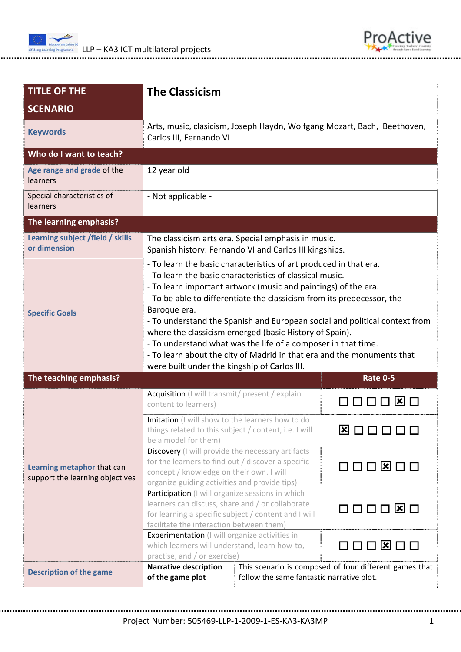



| <b>TITLE OF THE</b>                                           | <b>The Classicism</b>                                                                                                                                                                                                                                                                                                                                                                                                                                                                                                                                                                                                        |                 |  |
|---------------------------------------------------------------|------------------------------------------------------------------------------------------------------------------------------------------------------------------------------------------------------------------------------------------------------------------------------------------------------------------------------------------------------------------------------------------------------------------------------------------------------------------------------------------------------------------------------------------------------------------------------------------------------------------------------|-----------------|--|
| <b>SCENARIO</b>                                               |                                                                                                                                                                                                                                                                                                                                                                                                                                                                                                                                                                                                                              |                 |  |
| <b>Keywords</b>                                               | Arts, music, clasicism, Joseph Haydn, Wolfgang Mozart, Bach, Beethoven,<br>Carlos III, Fernando VI                                                                                                                                                                                                                                                                                                                                                                                                                                                                                                                           |                 |  |
| Who do I want to teach?                                       |                                                                                                                                                                                                                                                                                                                                                                                                                                                                                                                                                                                                                              |                 |  |
| Age range and grade of the<br>learners                        | 12 year old                                                                                                                                                                                                                                                                                                                                                                                                                                                                                                                                                                                                                  |                 |  |
| Special characteristics of<br>learners                        | - Not applicable -                                                                                                                                                                                                                                                                                                                                                                                                                                                                                                                                                                                                           |                 |  |
| The learning emphasis?                                        |                                                                                                                                                                                                                                                                                                                                                                                                                                                                                                                                                                                                                              |                 |  |
| Learning subject /field / skills<br>or dimension              | The classicism arts era. Special emphasis in music.<br>Spanish history: Fernando VI and Carlos III kingships.                                                                                                                                                                                                                                                                                                                                                                                                                                                                                                                |                 |  |
| <b>Specific Goals</b>                                         | - To learn the basic characteristics of art produced in that era.<br>- To learn the basic characteristics of classical music.<br>- To learn important artwork (music and paintings) of the era.<br>- To be able to differentiate the classicism from its predecessor, the<br>Baroque era.<br>- To understand the Spanish and European social and political context from<br>where the classicism emerged (basic History of Spain).<br>- To understand what was the life of a composer in that time.<br>- To learn about the city of Madrid in that era and the monuments that<br>were built under the kingship of Carlos III. |                 |  |
| The teaching emphasis?                                        | <b>Rate 0-5</b>                                                                                                                                                                                                                                                                                                                                                                                                                                                                                                                                                                                                              |                 |  |
| Learning metaphor that can<br>support the learning objectives | Acquisition (I will transmit/ present / explain<br>content to learners)                                                                                                                                                                                                                                                                                                                                                                                                                                                                                                                                                      | 000080          |  |
|                                                               | Imitation (I will show to the learners how to do<br>things related to this subject / content, i.e. I will<br>be a model for them)                                                                                                                                                                                                                                                                                                                                                                                                                                                                                            | <b>ØOOOOO</b>   |  |
|                                                               | Discovery (I will provide the necessary artifacts<br>for the learners to find out / discover a specific<br>concept / knowledge on their own. I will<br>organize guiding activities and provide tips)                                                                                                                                                                                                                                                                                                                                                                                                                         | 000800          |  |
|                                                               | Participation (I will organize sessions in which<br>learners can discuss, share and / or collaborate<br>for learning a specific subject / content and I will<br>facilitate the interaction between them)                                                                                                                                                                                                                                                                                                                                                                                                                     | 000080          |  |
|                                                               | Experimentation (I will organize activities in<br>which learners will understand, learn how-to,<br>practise, and / or exercise)                                                                                                                                                                                                                                                                                                                                                                                                                                                                                              | 000 <b>8</b> 00 |  |
| <b>Description of the game</b>                                | <b>Narrative description</b><br>This scenario is composed of four different games that<br>of the game plot<br>follow the same fantastic narrative plot.                                                                                                                                                                                                                                                                                                                                                                                                                                                                      |                 |  |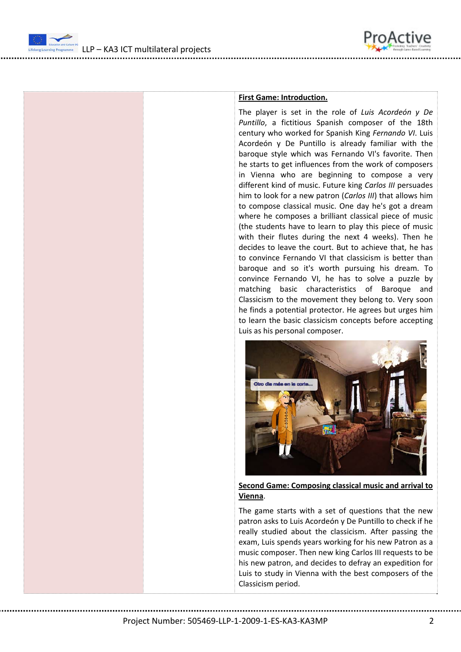

LLP – KA3 ICT multilateral projects



## **First Game: Introduction.**

The player is set in the role of *Luis Acordeón y De Puntillo*, a fictitious Spanish composer of the 18th century who worked for Spanish King *Fernando VI*. Luis Acordeón y De Puntillo is already familiar with the baroque style which was Fernando VI's favorite. Then he starts to get influences from the work of composers in Vienna who are beginning to compose a very different kind of music. Future king *Carlos III* persuades him to look for a new patron (*Carlos III*) that allows him to compose classical music. One day he's got a dream where he composes a brilliant classical piece of music (the students have to learn to play this piece of music with their flutes during the next 4 weeks). Then he decides to leave the court. But to achieve that, he has to convince Fernando VI that classicism is better than baroque and so it's worth pursuing his dream. To convince Fernando VI, he has to solve a puzzle by matching basic characteristics of Baroque and Classicism to the movement they belong to. Very soon he finds a potential protector. He agrees but urges him to learn the basic classicism concepts before accepting Luis as his personal composer.



**Second Game: Composing classical music and arrival to Vienna**.

The game starts with a set of questions that the new patron asks to Luis Acordeón y De Puntillo to check if he really studied about the classicism. After passing the exam, Luis spends years working for his new Patron as a music composer. Then new king Carlos III requests to be his new patron, and decides to defray an expedition for Luis to study in Vienna with the best composers of the Classicism period.

Project Number: 505469‐LLP‐1‐2009‐1‐ES‐KA3‐KA3MP 2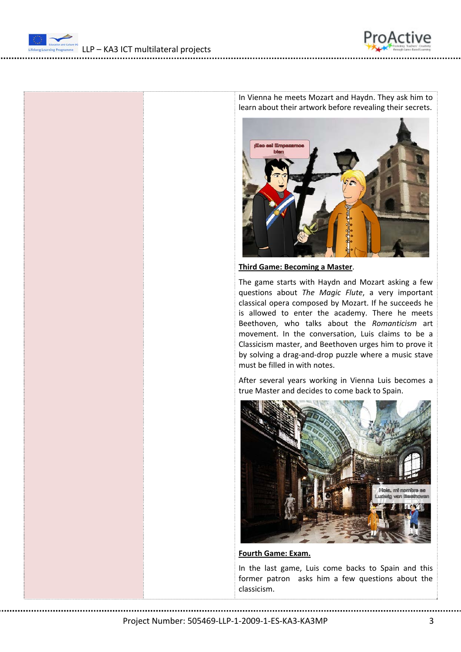



In Vienna he meets Mozart and Haydn. They ask him to learn about their artwork before revealing their secrets.



**Third Game: Becoming a Master**.

The game starts with Haydn and Mozart asking a few questions about *The Magic Flute*, a very important classical opera composed by Mozart. If he succeeds he is allowed to enter the academy. There he meets Beethoven, who talks about the *Romanticism* art movement. In the conversation, Luis claims to be a Classicism master, and Beethoven urges him to prove it by solving a drag‐and‐drop puzzle where a music stave must be filled in with notes.

After several years working in Vienna Luis becomes a true Master and decides to come back to Spain.



**Fourth Game: Exam.**

In the last game, Luis come backs to Spain and this former patron asks him a few questions about the classicism.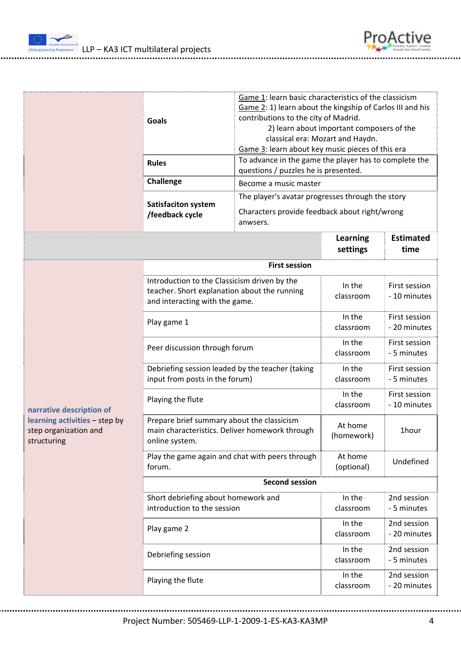



Project Number: 505469‐LLP‐1‐2009‐1‐ES‐KA3‐KA3MP 4

roActive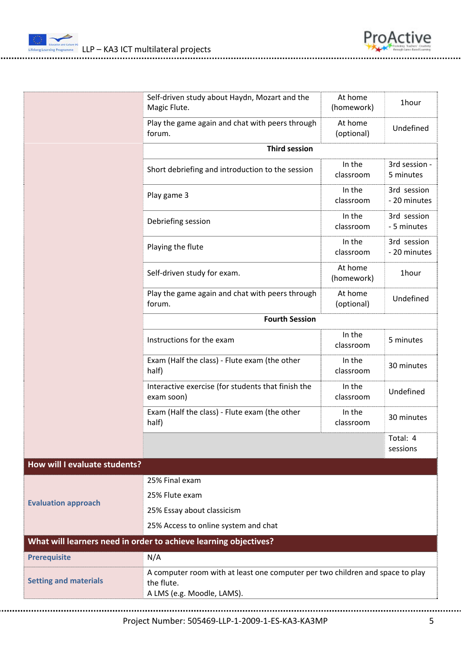

|                               | Self-driven study about Haydn, Mozart and the<br>Magic Flute.                                                             | At home<br>(homework) | 1hour                       |  |
|-------------------------------|---------------------------------------------------------------------------------------------------------------------------|-----------------------|-----------------------------|--|
|                               | Play the game again and chat with peers through<br>forum.                                                                 | At home<br>(optional) | Undefined                   |  |
|                               | <b>Third session</b>                                                                                                      |                       |                             |  |
|                               | Short debriefing and introduction to the session                                                                          | In the<br>classroom   | 3rd session -<br>5 minutes  |  |
|                               | Play game 3                                                                                                               | In the<br>classroom   | 3rd session<br>- 20 minutes |  |
|                               | Debriefing session                                                                                                        | In the<br>classroom   | 3rd session<br>- 5 minutes  |  |
|                               | Playing the flute                                                                                                         | In the<br>classroom   | 3rd session<br>- 20 minutes |  |
|                               | Self-driven study for exam.                                                                                               | At home<br>(homework) | 1hour                       |  |
|                               | Play the game again and chat with peers through<br>forum.                                                                 | At home<br>(optional) | Undefined                   |  |
|                               | <b>Fourth Session</b>                                                                                                     |                       |                             |  |
|                               | Instructions for the exam                                                                                                 | In the<br>classroom   | 5 minutes                   |  |
|                               | Exam (Half the class) - Flute exam (the other<br>half)                                                                    | In the<br>classroom   | 30 minutes                  |  |
|                               | Interactive exercise (for students that finish the<br>exam soon)                                                          | In the<br>classroom   | Undefined                   |  |
|                               | Exam (Half the class) - Flute exam (the other<br>half)                                                                    | In the<br>classroom   | 30 minutes                  |  |
|                               |                                                                                                                           |                       | Total: 4<br>sessions        |  |
| How will I evaluate students? |                                                                                                                           |                       |                             |  |
| <b>Evaluation approach</b>    | 25% Final exam                                                                                                            |                       |                             |  |
|                               | 25% Flute exam                                                                                                            |                       |                             |  |
|                               | 25% Essay about classicism                                                                                                |                       |                             |  |
|                               | 25% Access to online system and chat                                                                                      |                       |                             |  |
|                               | What will learners need in order to achieve learning objectives?                                                          |                       |                             |  |
| <b>Prerequisite</b>           | N/A                                                                                                                       |                       |                             |  |
| <b>Setting and materials</b>  | A computer room with at least one computer per two children and space to play<br>the flute.<br>A LMS (e.g. Moodle, LAMS). |                       |                             |  |